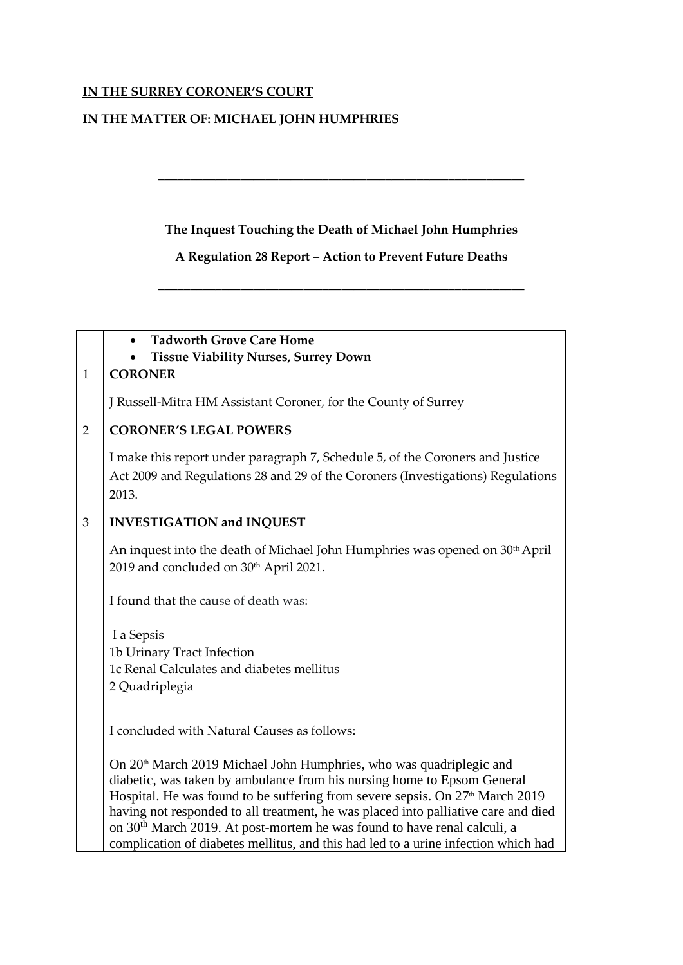## **IN THE SURREY CORONER'S COURT**

## **IN THE MATTER OF: MICHAEL JOHN HUMPHRIES**

## **The Inquest Touching the Death of Michael John Humphries**

**\_\_\_\_\_\_\_\_\_\_\_\_\_\_\_\_\_\_\_\_\_\_\_\_\_\_\_\_\_\_\_\_\_\_\_\_\_\_\_\_\_\_\_\_\_\_\_\_\_\_\_\_\_\_\_\_\_\_**

## **A Regulation 28 Report – Action to Prevent Future Deaths**

\_\_\_\_\_\_\_\_\_\_\_\_\_\_\_\_\_\_\_\_\_\_\_\_\_\_\_\_\_\_\_\_\_\_\_\_\_\_\_\_\_\_\_\_\_\_\_\_\_\_\_\_\_\_\_\_\_\_

| <b>Tadworth Grove Care Home</b>                                                                                                                                            |
|----------------------------------------------------------------------------------------------------------------------------------------------------------------------------|
| <b>Tissue Viability Nurses, Surrey Down</b>                                                                                                                                |
| <b>CORONER</b>                                                                                                                                                             |
| J Russell-Mitra HM Assistant Coroner, for the County of Surrey                                                                                                             |
| <b>CORONER'S LEGAL POWERS</b>                                                                                                                                              |
| I make this report under paragraph 7, Schedule 5, of the Coroners and Justice                                                                                              |
| Act 2009 and Regulations 28 and 29 of the Coroners (Investigations) Regulations                                                                                            |
| 2013.                                                                                                                                                                      |
|                                                                                                                                                                            |
| <b>INVESTIGATION and INQUEST</b>                                                                                                                                           |
| An inquest into the death of Michael John Humphries was opened on 30 <sup>th</sup> April<br>2019 and concluded on 30 <sup>th</sup> April 2021.                             |
| I found that the cause of death was:                                                                                                                                       |
| I a Sepsis                                                                                                                                                                 |
| 1b Urinary Tract Infection                                                                                                                                                 |
| 1c Renal Calculates and diabetes mellitus                                                                                                                                  |
| 2 Quadriplegia                                                                                                                                                             |
|                                                                                                                                                                            |
| I concluded with Natural Causes as follows:                                                                                                                                |
| On 20 <sup>th</sup> March 2019 Michael John Humphries, who was quadriplegic and                                                                                            |
| diabetic, was taken by ambulance from his nursing home to Epsom General                                                                                                    |
| Hospital. He was found to be suffering from severe sepsis. On 27 <sup>th</sup> March 2019                                                                                  |
| having not responded to all treatment, he was placed into palliative care and died<br>on 30 <sup>th</sup> March 2019. At post-mortem he was found to have renal calculi, a |
| complication of diabetes mellitus, and this had led to a urine infection which had                                                                                         |
|                                                                                                                                                                            |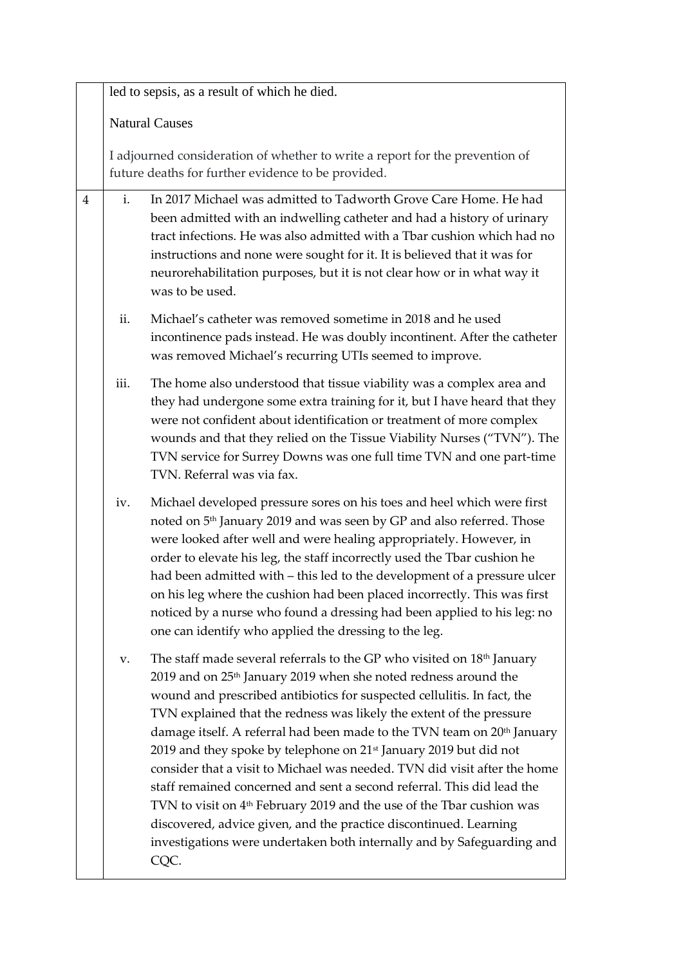|                |                                                                                                                                    | led to sepsis, as a result of which he died.                                                                                                                                                                                                                                                                                                                                                                                                                                                                                                                                                                                                                                                                                                                                                                                                                                                    |  |
|----------------|------------------------------------------------------------------------------------------------------------------------------------|-------------------------------------------------------------------------------------------------------------------------------------------------------------------------------------------------------------------------------------------------------------------------------------------------------------------------------------------------------------------------------------------------------------------------------------------------------------------------------------------------------------------------------------------------------------------------------------------------------------------------------------------------------------------------------------------------------------------------------------------------------------------------------------------------------------------------------------------------------------------------------------------------|--|
|                | <b>Natural Causes</b>                                                                                                              |                                                                                                                                                                                                                                                                                                                                                                                                                                                                                                                                                                                                                                                                                                                                                                                                                                                                                                 |  |
|                | I adjourned consideration of whether to write a report for the prevention of<br>future deaths for further evidence to be provided. |                                                                                                                                                                                                                                                                                                                                                                                                                                                                                                                                                                                                                                                                                                                                                                                                                                                                                                 |  |
| $\overline{4}$ | i.                                                                                                                                 | In 2017 Michael was admitted to Tadworth Grove Care Home. He had<br>been admitted with an indwelling catheter and had a history of urinary<br>tract infections. He was also admitted with a Tbar cushion which had no<br>instructions and none were sought for it. It is believed that it was for<br>neurorehabilitation purposes, but it is not clear how or in what way it<br>was to be used.                                                                                                                                                                                                                                                                                                                                                                                                                                                                                                 |  |
|                | ii.                                                                                                                                | Michael's catheter was removed sometime in 2018 and he used<br>incontinence pads instead. He was doubly incontinent. After the catheter<br>was removed Michael's recurring UTIs seemed to improve.                                                                                                                                                                                                                                                                                                                                                                                                                                                                                                                                                                                                                                                                                              |  |
|                | iii.                                                                                                                               | The home also understood that tissue viability was a complex area and<br>they had undergone some extra training for it, but I have heard that they<br>were not confident about identification or treatment of more complex<br>wounds and that they relied on the Tissue Viability Nurses ("TVN"). The<br>TVN service for Surrey Downs was one full time TVN and one part-time<br>TVN. Referral was via fax.                                                                                                                                                                                                                                                                                                                                                                                                                                                                                     |  |
|                | iv.                                                                                                                                | Michael developed pressure sores on his toes and heel which were first<br>noted on 5 <sup>th</sup> January 2019 and was seen by GP and also referred. Those<br>were looked after well and were healing appropriately. However, in<br>order to elevate his leg, the staff incorrectly used the Tbar cushion he<br>had been admitted with - this led to the development of a pressure ulcer<br>on his leg where the cushion had been placed incorrectly. This was first<br>noticed by a nurse who found a dressing had been applied to his leg: no<br>one can identify who applied the dressing to the leg.                                                                                                                                                                                                                                                                                       |  |
|                | v.                                                                                                                                 | The staff made several referrals to the GP who visited on 18 <sup>th</sup> January<br>2019 and on 25 <sup>th</sup> January 2019 when she noted redness around the<br>wound and prescribed antibiotics for suspected cellulitis. In fact, the<br>TVN explained that the redness was likely the extent of the pressure<br>damage itself. A referral had been made to the TVN team on 20 <sup>th</sup> January<br>2019 and they spoke by telephone on 21 <sup>st</sup> January 2019 but did not<br>consider that a visit to Michael was needed. TVN did visit after the home<br>staff remained concerned and sent a second referral. This did lead the<br>TVN to visit on 4 <sup>th</sup> February 2019 and the use of the Tbar cushion was<br>discovered, advice given, and the practice discontinued. Learning<br>investigations were undertaken both internally and by Safeguarding and<br>CQC. |  |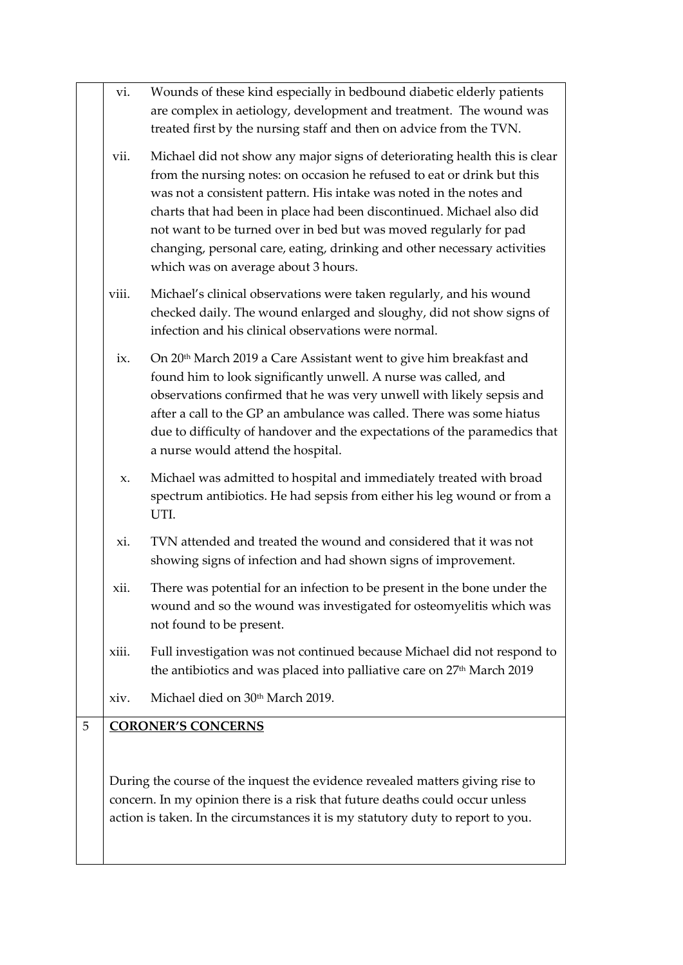|   | vi.   | Wounds of these kind especially in bedbound diabetic elderly patients<br>are complex in aetiology, development and treatment. The wound was<br>treated first by the nursing staff and then on advice from the TVN.                                                                                                                                                                                                                                                                            |
|---|-------|-----------------------------------------------------------------------------------------------------------------------------------------------------------------------------------------------------------------------------------------------------------------------------------------------------------------------------------------------------------------------------------------------------------------------------------------------------------------------------------------------|
|   | vii.  | Michael did not show any major signs of deteriorating health this is clear<br>from the nursing notes: on occasion he refused to eat or drink but this<br>was not a consistent pattern. His intake was noted in the notes and<br>charts that had been in place had been discontinued. Michael also did<br>not want to be turned over in bed but was moved regularly for pad<br>changing, personal care, eating, drinking and other necessary activities<br>which was on average about 3 hours. |
|   | viii. | Michael's clinical observations were taken regularly, and his wound<br>checked daily. The wound enlarged and sloughy, did not show signs of<br>infection and his clinical observations were normal.                                                                                                                                                                                                                                                                                           |
|   | ix.   | On 20 <sup>th</sup> March 2019 a Care Assistant went to give him breakfast and<br>found him to look significantly unwell. A nurse was called, and<br>observations confirmed that he was very unwell with likely sepsis and<br>after a call to the GP an ambulance was called. There was some hiatus<br>due to difficulty of handover and the expectations of the paramedics that<br>a nurse would attend the hospital.                                                                        |
|   | X.    | Michael was admitted to hospital and immediately treated with broad<br>spectrum antibiotics. He had sepsis from either his leg wound or from a<br>UTI.                                                                                                                                                                                                                                                                                                                                        |
|   | xi.   | TVN attended and treated the wound and considered that it was not<br>showing signs of infection and had shown signs of improvement.                                                                                                                                                                                                                                                                                                                                                           |
|   | xii.  | There was potential for an infection to be present in the bone under the<br>wound and so the wound was investigated for osteomyelitis which was<br>not found to be present.                                                                                                                                                                                                                                                                                                                   |
|   | xiii. | Full investigation was not continued because Michael did not respond to<br>the antibiotics and was placed into palliative care on 27 <sup>th</sup> March 2019                                                                                                                                                                                                                                                                                                                                 |
|   | xiv.  | Michael died on 30th March 2019.                                                                                                                                                                                                                                                                                                                                                                                                                                                              |
| 5 |       | <b>CORONER'S CONCERNS</b>                                                                                                                                                                                                                                                                                                                                                                                                                                                                     |
|   |       | During the course of the inquest the evidence revealed matters giving rise to<br>concern. In my opinion there is a risk that future deaths could occur unless<br>action is taken. In the circumstances it is my statutory duty to report to you.                                                                                                                                                                                                                                              |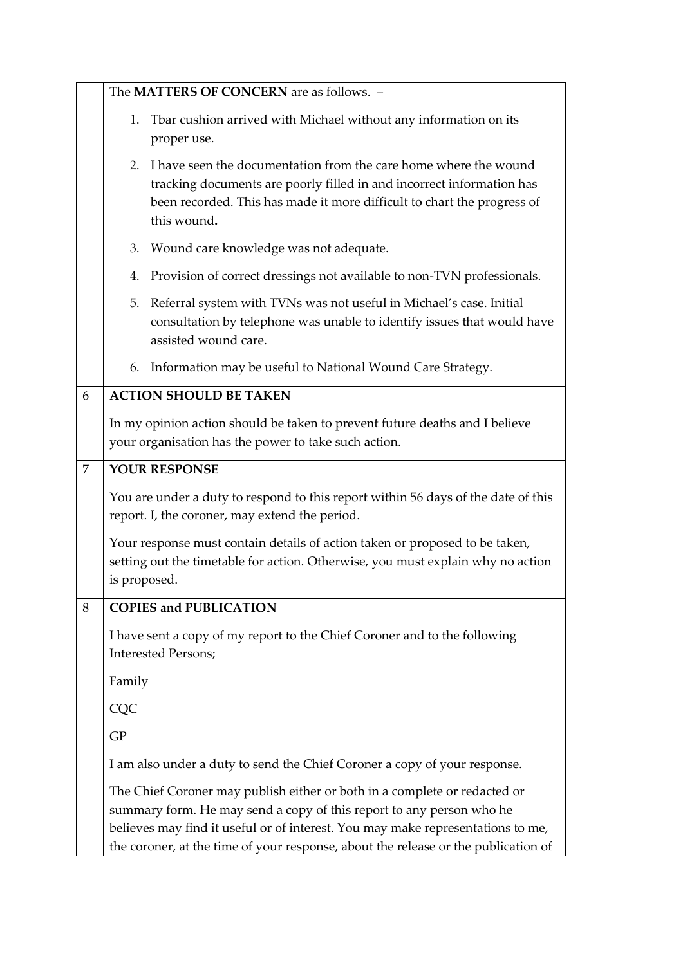|   | The MATTERS OF CONCERN are as follows. -                                                                                                                                                                                                                                                                                   |  |  |
|---|----------------------------------------------------------------------------------------------------------------------------------------------------------------------------------------------------------------------------------------------------------------------------------------------------------------------------|--|--|
|   | 1. Tbar cushion arrived with Michael without any information on its<br>proper use.                                                                                                                                                                                                                                         |  |  |
|   | 2. I have seen the documentation from the care home where the wound<br>tracking documents are poorly filled in and incorrect information has<br>been recorded. This has made it more difficult to chart the progress of<br>this wound.                                                                                     |  |  |
|   | 3. Wound care knowledge was not adequate.                                                                                                                                                                                                                                                                                  |  |  |
|   | 4. Provision of correct dressings not available to non-TVN professionals.                                                                                                                                                                                                                                                  |  |  |
|   | Referral system with TVNs was not useful in Michael's case. Initial<br>5.<br>consultation by telephone was unable to identify issues that would have<br>assisted wound care.                                                                                                                                               |  |  |
|   | 6. Information may be useful to National Wound Care Strategy.                                                                                                                                                                                                                                                              |  |  |
| 6 | <b>ACTION SHOULD BE TAKEN</b>                                                                                                                                                                                                                                                                                              |  |  |
|   | In my opinion action should be taken to prevent future deaths and I believe<br>your organisation has the power to take such action.                                                                                                                                                                                        |  |  |
| 7 | YOUR RESPONSE                                                                                                                                                                                                                                                                                                              |  |  |
|   | You are under a duty to respond to this report within 56 days of the date of this<br>report. I, the coroner, may extend the period.                                                                                                                                                                                        |  |  |
|   | Your response must contain details of action taken or proposed to be taken,<br>setting out the timetable for action. Otherwise, you must explain why no action<br>is proposed.                                                                                                                                             |  |  |
| 8 | <b>COPIES and PUBLICATION</b>                                                                                                                                                                                                                                                                                              |  |  |
|   | I have sent a copy of my report to the Chief Coroner and to the following<br><b>Interested Persons;</b>                                                                                                                                                                                                                    |  |  |
|   | Family                                                                                                                                                                                                                                                                                                                     |  |  |
|   | CQC                                                                                                                                                                                                                                                                                                                        |  |  |
|   | <b>GP</b>                                                                                                                                                                                                                                                                                                                  |  |  |
|   | I am also under a duty to send the Chief Coroner a copy of your response.                                                                                                                                                                                                                                                  |  |  |
|   | The Chief Coroner may publish either or both in a complete or redacted or<br>summary form. He may send a copy of this report to any person who he<br>believes may find it useful or of interest. You may make representations to me,<br>the coroner, at the time of your response, about the release or the publication of |  |  |